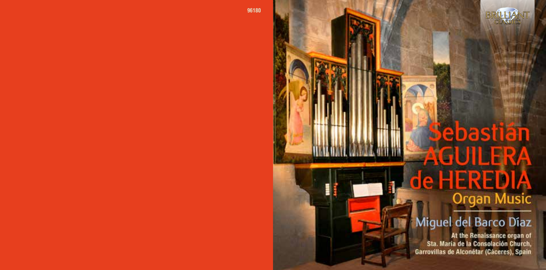

# ebastiän GUILER de HERED **Organ Music**

# Miguel del Barco Díaz

At the Renaissance organ of Sta. Maria de la Consolación Church, Garrovillas de Alconétar (Cáceres), Spain

**96180**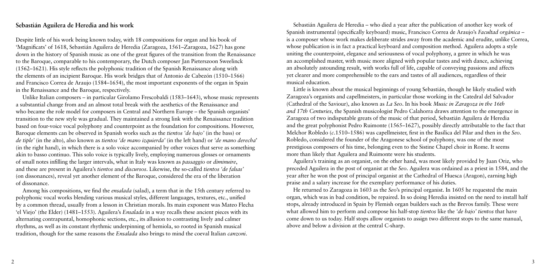## **Sebastián Aguilera de Heredia and his work**

Despite little of his work being known today, with 18 compositions for organ and his book of 'Magnificats' of 1618, Sebastián Aguilera de Heredia (Zaragoza, 1561–Zaragoza, 1627) has gone down in the history of Spanish music as one of the great figures of the transition from the Renaissance to the Baroque, comparable to his contemporary, the Dutch composer Jan Pieterszoon Sweelinck (1562–1621). His style reflects the polyphonic tradition of the Spanish Renaissance along with the elements of an incipient Baroque. His work bridges that of Antonio de Cabezón (1510–1566) and Francisco Correa de Araujo (1584–1654), the most important exponents of the organ in Spain in the Renaissance and the Baroque, respectively.

Unlike Italian composers – in particular Girolamo Frescobaldi (1583–1643), whose music represents a substantial change from and an almost total break with the aesthetics of the Renaissance and who became the role model for composers in Central and Northern Europe – the Spanish organists' transition to the new style was gradual. They maintained a strong link with the Renaissance tradition based on four-voice vocal polyphony and counterpoint as the foundation for compositions. However, Baroque elements can be observed in Spanish works such as the *tientos 'de bajo'* (in the bass) or *de tiple'* (in the alto), also known as *tientos 'de mano izquierda'* (in the left hand) or *'de mano derecha*' (in the right hand), in which there is a solo voice accompanied by other voices that serve as something akin to basso continuo. This solo voice is typically lively, employing numerous glosses or ornaments of small notes infilling the larger intervals, what in Italy was known as *passaggio* or *diminuire*, and these are present in Aguilera's *tientos* and *discursos*. Likewise, the so-called *tientos 'de falsas'*  (on dissonances), reveal yet another element of the Baroque, considered the era of the liberation of dissonance.

Among his compositions, we find the *ensalada* (salad), a term that in the 15th century referred to polyphonic vocal works blending various musical styles, different languages, textures, etc., unified by a common thread, usually from a lesson in Christian morals. Its main exponent was Mateo Flecha 'el Viejo' (the Elder) (1481–1553). Aguilera's *Ensalada* in a way recalls these ancient pieces with its alternating contrapuntal, homophonic sections, etc., its allusion to contrasting lively and calmer rhythms, as well as its constant rhythmic underpinning of hemiola, so rooted in Spanish musical tradition, though for the same reasons the *Ensalada* also brings to mind the coeval Italian *canzoni*.

Sebastián Aguilera de Heredia – who died a year after the publication of another key work of Spanish instrumental (specifically keyboard) music, Francisco Correa de Araujo's *Facultad orgánica* – is a composer whose work makes deliberate strides away from the academic and erudite, unlike Correa, whose publication is in fact a practical keyboard and composition method. Aguilera adopts a style uniting the counterpoint, elegance and seriousness of vocal polyphony, a genre in which he was an accomplished master, with music more aligned with popular tastes and with dance, achieving an absolutely astounding result, with works full of life, capable of conveying passions and affects yet clearer and more comprehensible to the ears and tastes of all audiences, regardless of their musical education.

Little is known about the musical beginnings of young Sebastián, though he likely studied with Zaragoza's organists and capellmeisters, in particular those working in the Catedral del Salvador (Cathedral of the Saviour), also known as *La Seo*. In his book *Music in Zaragoza in the 16th and 17th Centuries*, the Spanish musicologist Pedro Calahorra draws attention to the emergence in Zaragoza of two indisputable greats of the music of that period, Sebastián Aguilera de Heredia and the great polyphonist Pedro Ruimonte (1565–1627), possibly directly attributable to the fact that Melchor Robledo (*c*.1510–1586) was capellmeister, first in the Basílica del Pilar and then in the *Seo*. Robledo, considered the founder of the Aragonese school of polyphony, was one of the most prestigious composers of his time, belonging even to the Sistine Chapel choir in Rome. It seems more than likely that Aguilera and Ruimonte were his students.

Aguilera's training as an organist, on the other hand, was most likely provided by Juan Oriz, who preceded Aguilera in the post of organist at the *Seo*. Aguilera was ordained as a priest in 1584, and the year after he won the post of principal organist at the Cathedral of Huesca (Aragon), earning high praise and a salary increase for the exemplary performance of his duties.

He returned to Zaragoza in 1603 as the *Seo*'s principal organist. In 1605 he requested the main organ, which was in bad condition, be repaired. In so doing Heredia insisted on the need to install half stops, already introduced in Spain by Flemish organ builders such as the Brevos family. These were what allowed him to perform and compose his half-stop *tientos* like the *'de bajo' tientos* that have come down to us today. Half stops allow organists to assign two different stops to the same manual, above and below a division at the central C-sharp.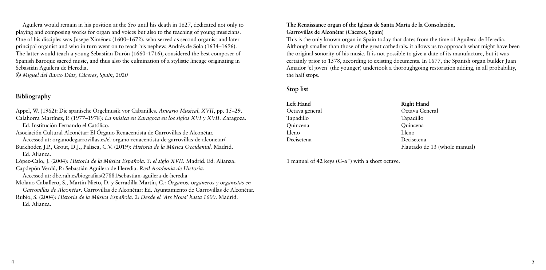Aguilera would remain in his position at the *Seo* until his death in 1627, dedicated not only to playing and composing works for organ and voices but also to the teaching of young musicians. One of his disciples was Jusepe Ximénez (1600–1672), who served as second organist and later principal organist and who in turn went on to teach his nephew, Andrés de Sola (1634–1696). The latter would teach a young Sebastián Durón (1660–1716), considered the best composer of Spanish Baroque sacred music, and thus also the culmination of a stylistic lineage originating in Sebastián Aguilera de Heredia.

 *Miguel del Barco Díaz, Cáceres, Spain, 2020*

# **Bibliography**

Appel, W. (1962): Die spanische Orgelmusik vor Cabanilles. *Anuario Musical, XVII*, pp. 15–29. Calahorra Martínez, P. (1977–1978): *La música en Zaragoza en los siglos XVI y XVII.* Zaragoza.

Ed. Institución Fernando el Católico.

Asociación Cultural Alconétar: El Órgano Renacentista de Garrovillas de Alconétar. Accessed at: organodegarrovillas.es/el-organo-renacentista-de-garrovillas-de-alconetar/

Burkhoder, J.P., Grout, D.J., Palisca, C.V. (2019): *Historia de la Música Occidental.* Madrid. Ed. Alianza.

López-Calo, J. (2004): *Historia de la Música Española. 3: el siglo XVII.* Madrid. Ed. Alianza.

Capdepón Verdú, P.: Sebastián Aguilera de Heredia. *Real Academia de Historia.*  Accessed at: dbe.rah.es/biografias/27881/sebastian-aguilera-de-heredia

Molano Caballero, S., Martín Nieto, D. y Serradilla Martín, C.: *Órganos, organeros y organistas en Garrovillas de Alconétar*. Garrovillas de Alconétar: Ed. Ayuntamiento de Garrovillas de Alconétar.

Rubio, S. (2004): *Historia de la Música Española. 2: Desde el 'Ars Nova' hasta 1600*. Madrid. Ed. Alianza.

#### **The Renaissance organ of the Iglesia de Santa María de la Consolación, Garrovillas de Alconétar (Cáceres, Spain)**

This is the only known organ in Spain today that dates from the time of Aguilera de Heredia. Although smaller than those of the great cathedrals, it allows us to approach what might have been the original sonority of his music. It is not possible to give a date of its manufacture, but it was certainly prior to 1578, according to existing documents. In 1677, the Spanish organ builder Juan Amador 'el joven' (the younger) undertook a thoroughgoing restoration adding, in all probability, the half stops.

## **Stop list**

| Left Hand      | <b>Right Hand</b>             |
|----------------|-------------------------------|
| Octava general | Octava General                |
| Tapadillo      | Tapadillo                     |
| Quincena       | Quincena                      |
| Lleno          | Lleno                         |
| Decisetena     | Decisetena                    |
|                | Flautado de 13 (whole manual) |

1 manual of 42 keys (C–a") with a short octave.